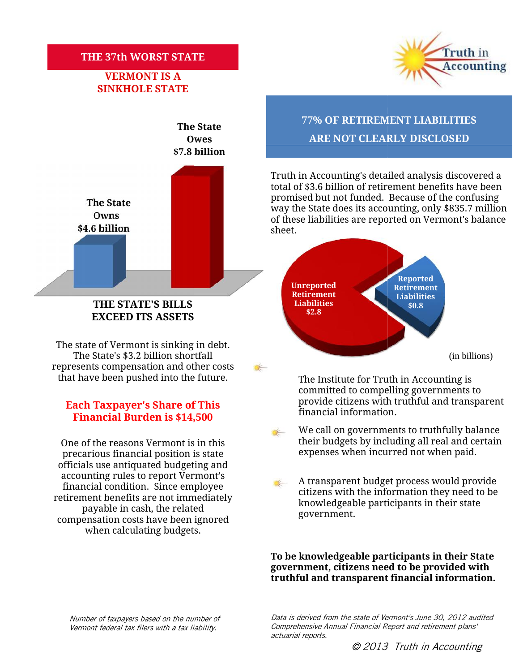### **THE 37th WORST STATE**

# **VERMONT IS A SINKHOLE STATE**



## **THE STATE'S BILLS EXCEED ITS ASSETS**

The state of Vermont is sinking in debt. The State's \$3.2 billion shortfall represents compensation and other costs that have been pushed into the future.

#### **Each Taxpayer's Share of This Financial Burden is \$14,500**

One of the reasons Vermont is in this precarious financial position is state officials use antiquated budgeting and accounting rules to report Vermont's financial condition. Since employee retirement benefits are not immediately payable in cash, the related compensation costs have been ignored when calculating budgets. One of the reasons Vermont is in this<br>
precarious financial position is state<br>
officials use antiquated budgeting and<br>
accounting rules to report Vermont's<br>
financial condition. Since employee<br>
etirement benefits are not i



# **The State 77% OF RETIREMENT LIABILITIES Owes ARE NOT CLEARLY DISCLOSED 37th WORST STATE<br>
VERMONT IS A<br>
NKHOLE STATE<br>
The State<br>
The State<br>
Owes ARE NOT CLEARLY DISCLOSED**

Truth in Accounting's detailed analysis discovered a Truth in Accounting's detailed analysis discovered a<br>total of \$3.6 billion of retirement benefits have been promised but not funded. Because of the confusing way the State does its accounting, only \$835.7 million of these liabilities are reported on Vermont's balance sheet. promised but not funded. Because of the confusing<br>way the State does its accounting, only \$835.7 million<br>of these liabilities are reported on Vermont's balance



The Institute for Truth in Accounting is committed to compelling governments to to provide citizens with truthful and transparent  $\bar{\rm f}$ inancial information.

- We call on governments to truthfully balance their budgets by including all real and certain expenses when incurred not when paid.
- A transparent budget process would provide citizens with the information they need to be knowledgeable participants in their state government. government.

**To be knowledgeable participants in their State government, citizens need to be provided with** To be knowledgeable participants in their State<br>government, citizens need to be provided with<br>truthful and transparent financial information.

*Number of taxpayers based on the number of Vermont federal tax filers with a tax liability.*

*the number of Data is derived from the state of Vermont's June 30, 2012 audited Comprehensive Annual Financial Report and retirement plans' actuarial reports.*